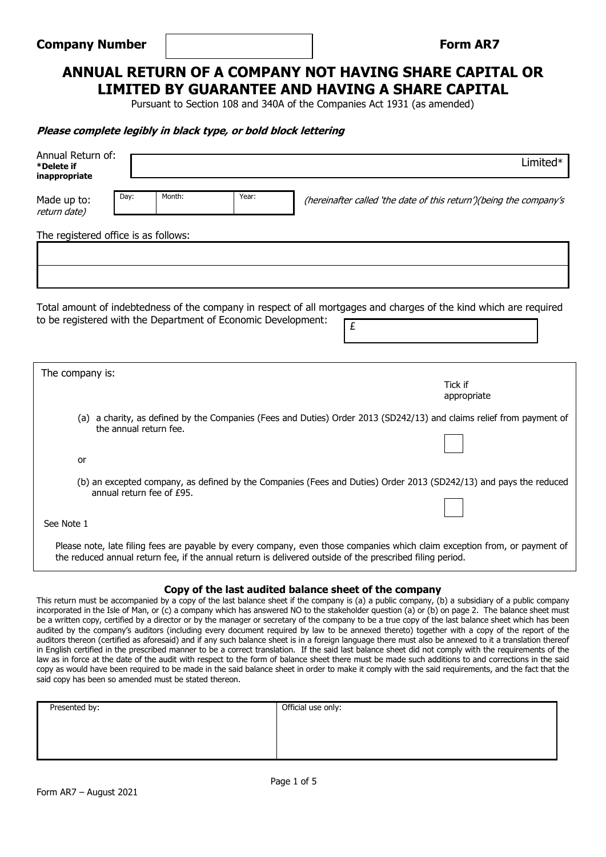## **Form AR7**

## **ANNUAL RETURN OF A COMPANY NOT HAVING SHARE CAPITAL OR LIMITED BY GUARANTEE AND HAVING A SHARE CAPITAL**

Pursuant to Section 108 and 340A of the Companies Act 1931 (as amended)

#### **Please complete legibly in black type, or bold block lettering**

| Annual Return of:<br>*Delete if<br>inappropriate                                                                                                                                                                                        | Limited*                                                                                                                |  |  |  |
|-----------------------------------------------------------------------------------------------------------------------------------------------------------------------------------------------------------------------------------------|-------------------------------------------------------------------------------------------------------------------------|--|--|--|
| Year:<br>Month:<br>Day:<br>Made up to:<br>return date)                                                                                                                                                                                  | (hereinafter called 'the date of this return')(being the company's                                                      |  |  |  |
| The registered office is as follows:                                                                                                                                                                                                    |                                                                                                                         |  |  |  |
|                                                                                                                                                                                                                                         |                                                                                                                         |  |  |  |
|                                                                                                                                                                                                                                         |                                                                                                                         |  |  |  |
| to be registered with the Department of Economic Development:                                                                                                                                                                           | Total amount of indebtedness of the company in respect of all mortgages and charges of the kind which are required<br>£ |  |  |  |
| The company is:                                                                                                                                                                                                                         | Tick if                                                                                                                 |  |  |  |
|                                                                                                                                                                                                                                         | appropriate                                                                                                             |  |  |  |
| (a) a charity, as defined by the Companies (Fees and Duties) Order 2013 (SD242/13) and claims relief from payment of<br>the annual return fee.                                                                                          |                                                                                                                         |  |  |  |
| or                                                                                                                                                                                                                                      |                                                                                                                         |  |  |  |
| (b) an excepted company, as defined by the Companies (Fees and Duties) Order 2013 (SD242/13) and pays the reduced<br>annual return fee of £95.                                                                                          |                                                                                                                         |  |  |  |
| See Note 1                                                                                                                                                                                                                              |                                                                                                                         |  |  |  |
|                                                                                                                                                                                                                                         |                                                                                                                         |  |  |  |
| Please note, late filing fees are payable by every company, even those companies which claim exception from, or payment of<br>the reduced annual return fee, if the annual return is delivered outside of the prescribed filing period. |                                                                                                                         |  |  |  |

#### **Copy of the last audited balance sheet of the company**

This return must be accompanied by a copy of the last balance sheet if the company is (a) a public company, (b) a subsidiary of a public company incorporated in the Isle of Man, or (c) a company which has answered NO to the stakeholder question (a) or (b) on page 2. The balance sheet must be a written copy, certified by a director or by the manager or secretary of the company to be a true copy of the last balance sheet which has been audited by the company's auditors (including every document required by law to be annexed thereto) together with a copy of the report of the auditors thereon (certified as aforesaid) and if any such balance sheet is in a foreign language there must also be annexed to it a translation thereof in English certified in the prescribed manner to be a correct translation. If the said last balance sheet did not comply with the requirements of the law as in force at the date of the audit with respect to the form of balance sheet there must be made such additions to and corrections in the said copy as would have been required to be made in the said balance sheet in order to make it comply with the said requirements, and the fact that the said copy has been so amended must be stated thereon.

| Presented by: | Official use only: |  |  |  |
|---------------|--------------------|--|--|--|
|               |                    |  |  |  |
|               |                    |  |  |  |
|               |                    |  |  |  |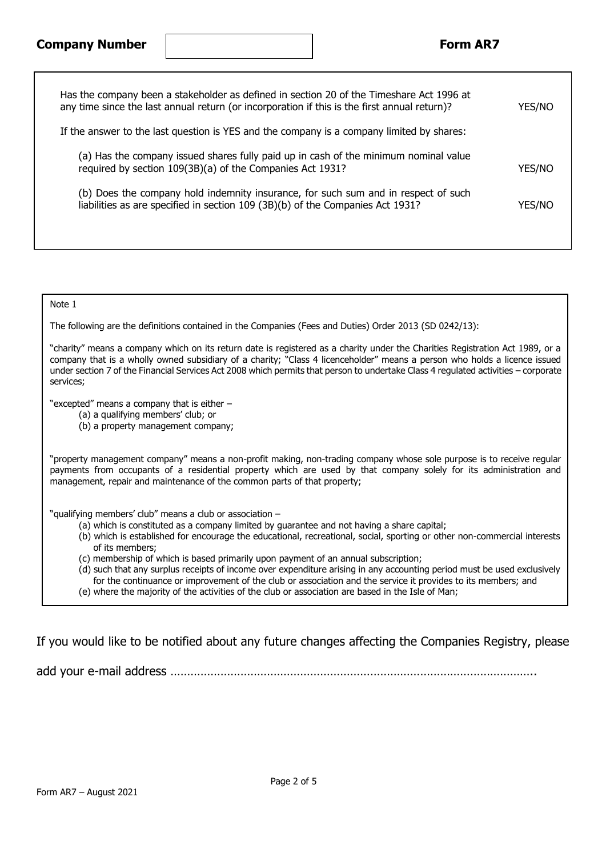## **Company Number Form AR7**

| Has the company been a stakeholder as defined in section 20 of the Timeshare Act 1996 at<br>any time since the last annual return (or incorporation if this is the first annual return)? | <b>YES/NO</b> |
|------------------------------------------------------------------------------------------------------------------------------------------------------------------------------------------|---------------|
| If the answer to the last question is YES and the company is a company limited by shares:                                                                                                |               |
| (a) Has the company issued shares fully paid up in cash of the minimum nominal value<br>required by section 109(3B)(a) of the Companies Act 1931?                                        | <b>YES/NO</b> |
| (b) Does the company hold indemnity insurance, for such sum and in respect of such<br>liabilities as are specified in section 109 (3B)(b) of the Companies Act 1931?                     | <b>YES/NO</b> |
|                                                                                                                                                                                          |               |

Note 1

The following are the definitions contained in the Companies (Fees and Duties) Order 2013 (SD 0242/13):

"charity" means a company which on its return date is registered as a charity under the Charities Registration Act 1989, or a company that is a wholly owned subsidiary of a charity; "Class 4 licenceholder" means a person who holds a licence issued under section 7 of the Financial Services Act 2008 which permits that person to undertake Class 4 regulated activities – corporate services;

"excepted" means a company that is either –

- (a) a qualifying members' club; or
- (b) a property management company;

"property management company" means a non-profit making, non-trading company whose sole purpose is to receive regular payments from occupants of a residential property which are used by that company solely for its administration and management, repair and maintenance of the common parts of that property;

"qualifying members' club" means a club or association –

- (a) which is constituted as a company limited by guarantee and not having a share capital;
- (b) which is established for encourage the educational, recreational, social, sporting or other non-commercial interests of its members;
- (c) membership of which is based primarily upon payment of an annual subscription;

(d) such that any surplus receipts of income over expenditure arising in any accounting period must be used exclusively for the continuance or improvement of the club or association and the service it provides to its members; and (e) where the majority of the activities of the club or association are based in the Isle of Man;

If you would like to be notified about any future changes affecting the Companies Registry, please

add your e-mail address ………………………………………………………………………………………………..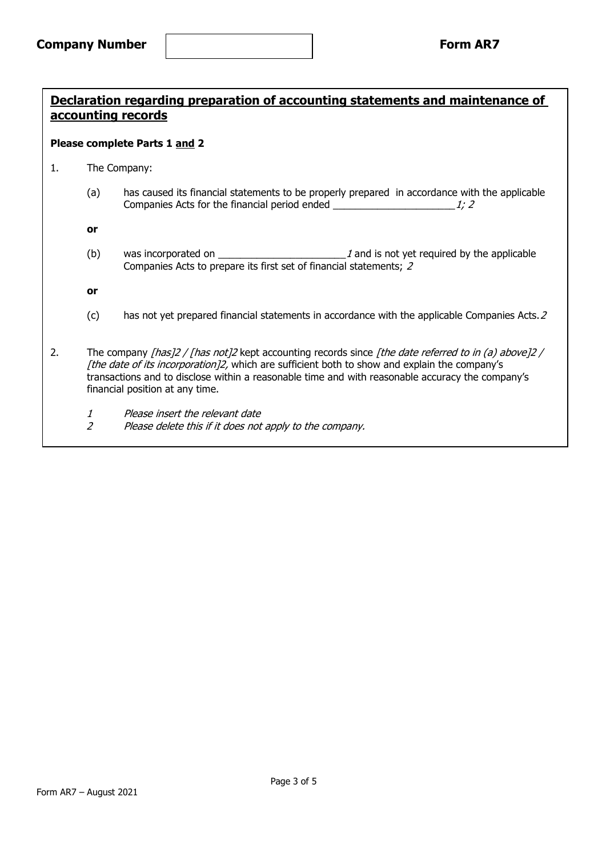# **Declaration regarding preparation of accounting statements and maintenance of accounting records**

#### **Please complete Parts 1 and 2**

- 1. The Company:
	- (a) has caused its financial statements to be properly prepared in accordance with the applicable Companies Acts for the financial period ended  $\frac{1}{2}$

**or**

(b) was incorporated on  $\sqrt{a}$  and is not yet required by the applicable Companies Acts to prepare its first set of financial statements; 2

**or**

- (c) has not yet prepared financial statements in accordance with the applicable Companies Acts.2
- 2. The company [has]2 / [has not]2 kept accounting records since [the date referred to in (a) above]2 / [the date of its incorporation]2, which are sufficient both to show and explain the company's transactions and to disclose within a reasonable time and with reasonable accuracy the company's financial position at any time.
	- 1 Please insert the relevant date
	- 2 Please delete this if it does not apply to the company.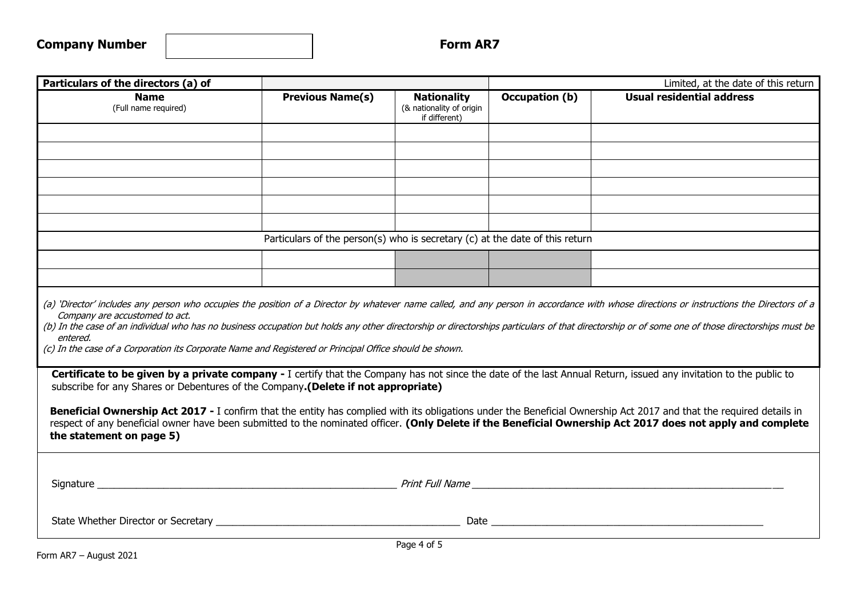| <b>Company Number</b> |  |
|-----------------------|--|
|-----------------------|--|

| Particulars of the directors (a) of                                                                                                                                                                                                                                                                                                                                                                                                                                                                                                                                                                                         |                                                                              | Limited, at the date of this return                             |                |                                                                                                                                                                                                                                |  |  |  |
|-----------------------------------------------------------------------------------------------------------------------------------------------------------------------------------------------------------------------------------------------------------------------------------------------------------------------------------------------------------------------------------------------------------------------------------------------------------------------------------------------------------------------------------------------------------------------------------------------------------------------------|------------------------------------------------------------------------------|-----------------------------------------------------------------|----------------|--------------------------------------------------------------------------------------------------------------------------------------------------------------------------------------------------------------------------------|--|--|--|
| <b>Name</b><br>(Full name required)                                                                                                                                                                                                                                                                                                                                                                                                                                                                                                                                                                                         | <b>Previous Name(s)</b>                                                      | <b>Nationality</b><br>(& nationality of origin<br>if different) | Occupation (b) | <b>Usual residential address</b>                                                                                                                                                                                               |  |  |  |
|                                                                                                                                                                                                                                                                                                                                                                                                                                                                                                                                                                                                                             |                                                                              |                                                                 |                |                                                                                                                                                                                                                                |  |  |  |
|                                                                                                                                                                                                                                                                                                                                                                                                                                                                                                                                                                                                                             |                                                                              |                                                                 |                |                                                                                                                                                                                                                                |  |  |  |
|                                                                                                                                                                                                                                                                                                                                                                                                                                                                                                                                                                                                                             |                                                                              |                                                                 |                |                                                                                                                                                                                                                                |  |  |  |
|                                                                                                                                                                                                                                                                                                                                                                                                                                                                                                                                                                                                                             |                                                                              |                                                                 |                |                                                                                                                                                                                                                                |  |  |  |
|                                                                                                                                                                                                                                                                                                                                                                                                                                                                                                                                                                                                                             |                                                                              |                                                                 |                |                                                                                                                                                                                                                                |  |  |  |
|                                                                                                                                                                                                                                                                                                                                                                                                                                                                                                                                                                                                                             |                                                                              |                                                                 |                |                                                                                                                                                                                                                                |  |  |  |
|                                                                                                                                                                                                                                                                                                                                                                                                                                                                                                                                                                                                                             | Particulars of the person(s) who is secretary (c) at the date of this return |                                                                 |                |                                                                                                                                                                                                                                |  |  |  |
|                                                                                                                                                                                                                                                                                                                                                                                                                                                                                                                                                                                                                             |                                                                              |                                                                 |                |                                                                                                                                                                                                                                |  |  |  |
|                                                                                                                                                                                                                                                                                                                                                                                                                                                                                                                                                                                                                             |                                                                              |                                                                 |                |                                                                                                                                                                                                                                |  |  |  |
| (a) 'Director' includes any person who occupies the position of a Director by whatever name called, and any person in accordance with whose directions or instructions the Directors of a<br>Company are accustomed to act.<br>(b) In the case of an individual who has no business occupation but holds any other directorship or directorships particulars of that directorship or of some one of those directorships must be<br>entered.<br>(c) In the case of a Corporation its Corporate Name and Registered or Principal Office should be shown.                                                                      |                                                                              |                                                                 |                |                                                                                                                                                                                                                                |  |  |  |
| Certificate to be given by a private company - I certify that the Company has not since the date of the last Annual Return, issued any invitation to the public to<br>subscribe for any Shares or Debentures of the Company. (Delete if not appropriate)<br>Beneficial Ownership Act 2017 - I confirm that the entity has complied with its obligations under the Beneficial Ownership Act 2017 and that the required details in<br>respect of any beneficial owner have been submitted to the nominated officer. (Only Delete if the Beneficial Ownership Act 2017 does not apply and complete<br>the statement on page 5) |                                                                              |                                                                 |                |                                                                                                                                                                                                                                |  |  |  |
|                                                                                                                                                                                                                                                                                                                                                                                                                                                                                                                                                                                                                             |                                                                              |                                                                 |                |                                                                                                                                                                                                                                |  |  |  |
|                                                                                                                                                                                                                                                                                                                                                                                                                                                                                                                                                                                                                             |                                                                              |                                                                 |                |                                                                                                                                                                                                                                |  |  |  |
|                                                                                                                                                                                                                                                                                                                                                                                                                                                                                                                                                                                                                             |                                                                              |                                                                 |                | Date and the contract of the contract of the contract of the contract of the contract of the contract of the contract of the contract of the contract of the contract of the contract of the contract of the contract of the c |  |  |  |
|                                                                                                                                                                                                                                                                                                                                                                                                                                                                                                                                                                                                                             | Page 4 of 5                                                                  |                                                                 |                |                                                                                                                                                                                                                                |  |  |  |

Form AR7 – August 2021